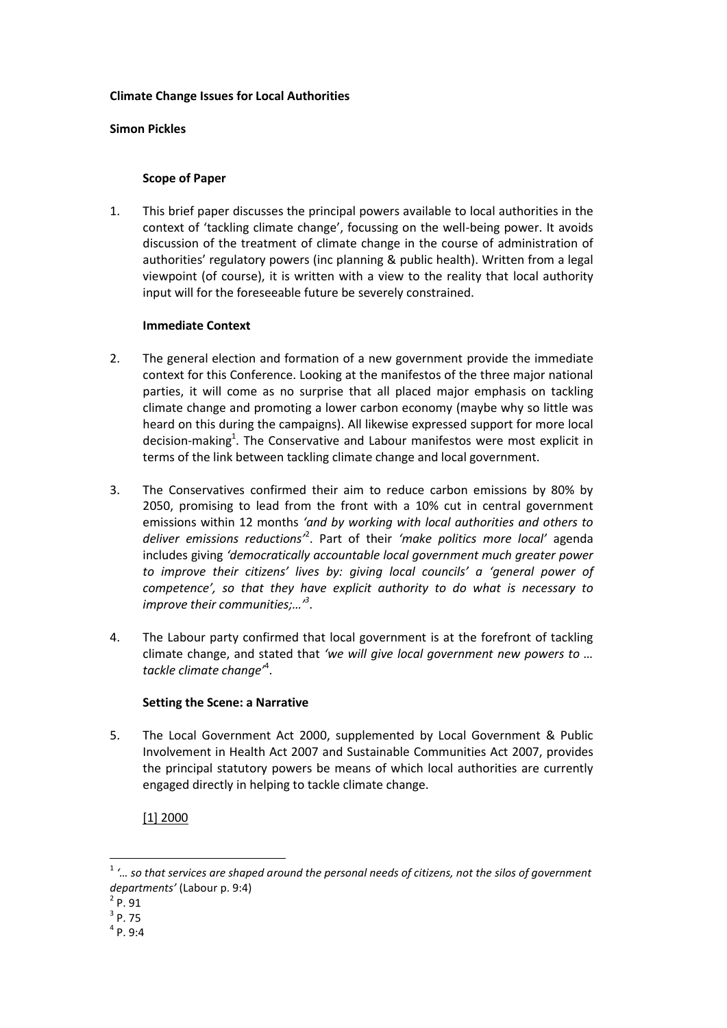### **Climate Change Issues for Local Authorities**

#### **Simon Pickles**

## **Scope of Paper**

1. This brief paper discusses the principal powers available to local authorities in the context of 'tackling climate change', focussing on the well-being power. It avoids discussion of the treatment of climate change in the course of administration of authorities' regulatory powers (inc planning & public health). Written from a legal viewpoint (of course), it is written with a view to the reality that local authority input will for the foreseeable future be severely constrained.

#### **Immediate Context**

- 2. The general election and formation of a new government provide the immediate context for this Conference. Looking at the manifestos of the three major national parties, it will come as no surprise that all placed major emphasis on tackling climate change and promoting a lower carbon economy (maybe why so little was heard on this during the campaigns). All likewise expressed support for more local decision-making<sup>1</sup>. The Conservative and Labour manifestos were most explicit in terms of the link between tackling climate change and local government.
- 3. The Conservatives confirmed their aim to reduce carbon emissions by 80% by 2050, promising to lead from the front with a 10% cut in central government emissions within 12 months *'and by working with local authorities and others to deliver emissions reductions'*<sup>2</sup> . Part of their *'make politics more local'* agenda includes giving *'democratically accountable local government much greater power to improve their citizens' lives by: giving local councils' a 'general power of competence', so that they have explicit authority to do what is necessary to improve their communities;…'<sup>3</sup>* .
- 4. The Labour party confirmed that local government is at the forefront of tackling climate change, and stated that *'we will give local government new powers to … tackle climate change'*<sup>4</sup> .

## **Setting the Scene: a Narrative**

5. The Local Government Act 2000, supplemented by Local Government & Public Involvement in Health Act 2007 and Sustainable Communities Act 2007, provides the principal statutory powers be means of which local authorities are currently engaged directly in helping to tackle climate change.

[1] 2000

1

<sup>1</sup> *'… so that services are shaped around the personal needs of citizens, not the silos of government departments'* (Labour p. 9:4)

 $^{2}$  P. 91

 $3$  P. 75

 $<sup>4</sup>$  P. 9:4</sup>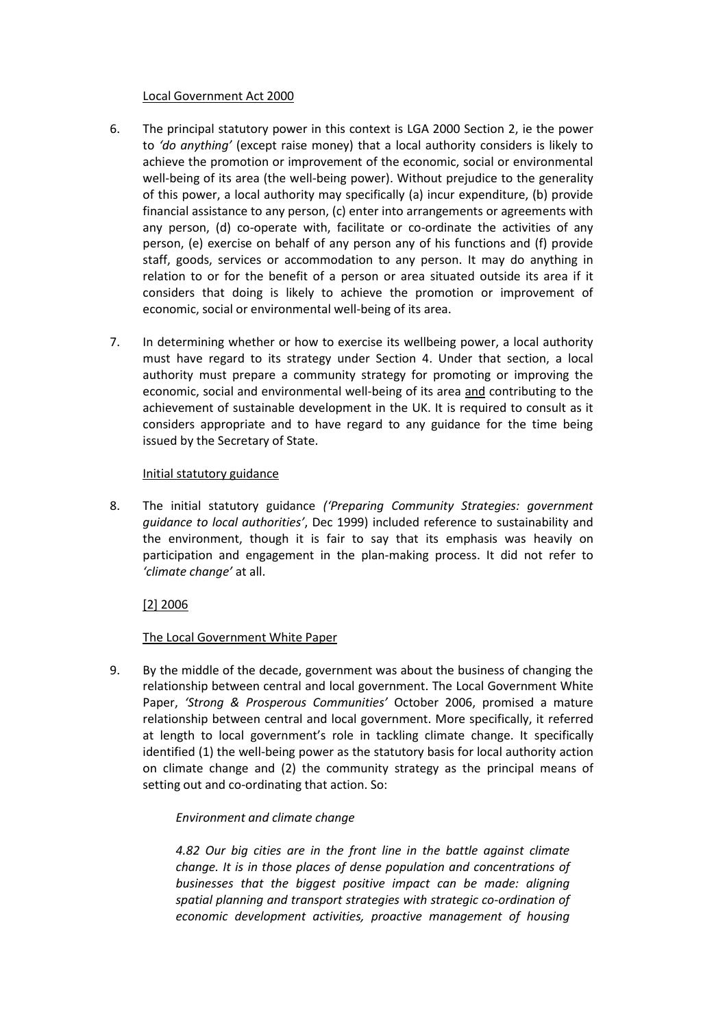## Local Government Act 2000

- 6. The principal statutory power in this context is LGA 2000 Section 2, ie the power to *'do anything'* (except raise money) that a local authority considers is likely to achieve the promotion or improvement of the economic, social or environmental well-being of its area (the well-being power). Without prejudice to the generality of this power, a local authority may specifically (a) incur expenditure, (b) provide financial assistance to any person, (c) enter into arrangements or agreements with any person, (d) co-operate with, facilitate or co-ordinate the activities of any person, (e) exercise on behalf of any person any of his functions and (f) provide staff, goods, services or accommodation to any person. It may do anything in relation to or for the benefit of a person or area situated outside its area if it considers that doing is likely to achieve the promotion or improvement of economic, social or environmental well-being of its area.
- 7. In determining whether or how to exercise its wellbeing power, a local authority must have regard to its strategy under Section 4. Under that section, a local authority must prepare a community strategy for promoting or improving the economic, social and environmental well-being of its area and contributing to the achievement of sustainable development in the UK. It is required to consult as it considers appropriate and to have regard to any guidance for the time being issued by the Secretary of State.

## Initial statutory guidance

8. The initial statutory guidance *('Preparing Community Strategies: government guidance to local authorities'*, Dec 1999) included reference to sustainability and the environment, though it is fair to say that its emphasis was heavily on participation and engagement in the plan-making process. It did not refer to *'climate change'* at all.

## [2] 2006

## The Local Government White Paper

9. By the middle of the decade, government was about the business of changing the relationship between central and local government. The Local Government White Paper, *'Strong & Prosperous Communities'* October 2006, promised a mature relationship between central and local government. More specifically, it referred at length to local government's role in tackling climate change. It specifically identified (1) the well-being power as the statutory basis for local authority action on climate change and (2) the community strategy as the principal means of setting out and co-ordinating that action. So:

## *Environment and climate change*

*4.82 Our big cities are in the front line in the battle against climate change. It is in those places of dense population and concentrations of businesses that the biggest positive impact can be made: aligning spatial planning and transport strategies with strategic co-ordination of economic development activities, proactive management of housing*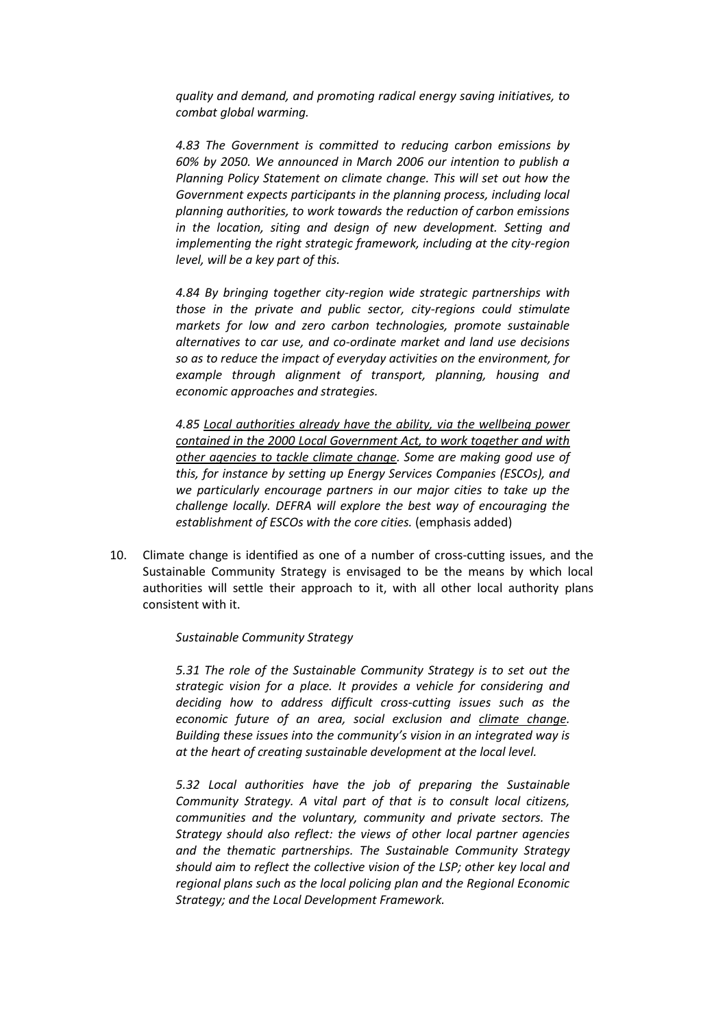*quality and demand, and promoting radical energy saving initiatives, to combat global warming.*

*4.83 The Government is committed to reducing carbon emissions by 60% by 2050. We announced in March 2006 our intention to publish a Planning Policy Statement on climate change. This will set out how the Government expects participants in the planning process, including local planning authorities, to work towards the reduction of carbon emissions in the location, siting and design of new development. Setting and implementing the right strategic framework, including at the city-region level, will be a key part of this.*

*4.84 By bringing together city-region wide strategic partnerships with those in the private and public sector, city-regions could stimulate markets for low and zero carbon technologies, promote sustainable alternatives to car use, and co-ordinate market and land use decisions so as to reduce the impact of everyday activities on the environment, for example through alignment of transport, planning, housing and economic approaches and strategies.*

*4.85 Local authorities already have the ability, via the wellbeing power contained in the 2000 Local Government Act, to work together and with other agencies to tackle climate change. Some are making good use of this, for instance by setting up Energy Services Companies (ESCOs), and we particularly encourage partners in our major cities to take up the challenge locally. DEFRA will explore the best way of encouraging the establishment of ESCOs with the core cities.* (emphasis added)

10. Climate change is identified as one of a number of cross-cutting issues, and the Sustainable Community Strategy is envisaged to be the means by which local authorities will settle their approach to it, with all other local authority plans consistent with it.

#### *Sustainable Community Strategy*

*5.31 The role of the Sustainable Community Strategy is to set out the strategic vision for a place. It provides a vehicle for considering and deciding how to address difficult cross-cutting issues such as the economic future of an area, social exclusion and climate change. Building these issues into the community's vision in an integrated way is at the heart of creating sustainable development at the local level.*

*5.32 Local authorities have the job of preparing the Sustainable Community Strategy. A vital part of that is to consult local citizens, communities and the voluntary, community and private sectors. The Strategy should also reflect: the views of other local partner agencies and the thematic partnerships. The Sustainable Community Strategy should aim to reflect the collective vision of the LSP; other key local and regional plans such as the local policing plan and the Regional Economic Strategy; and the Local Development Framework.*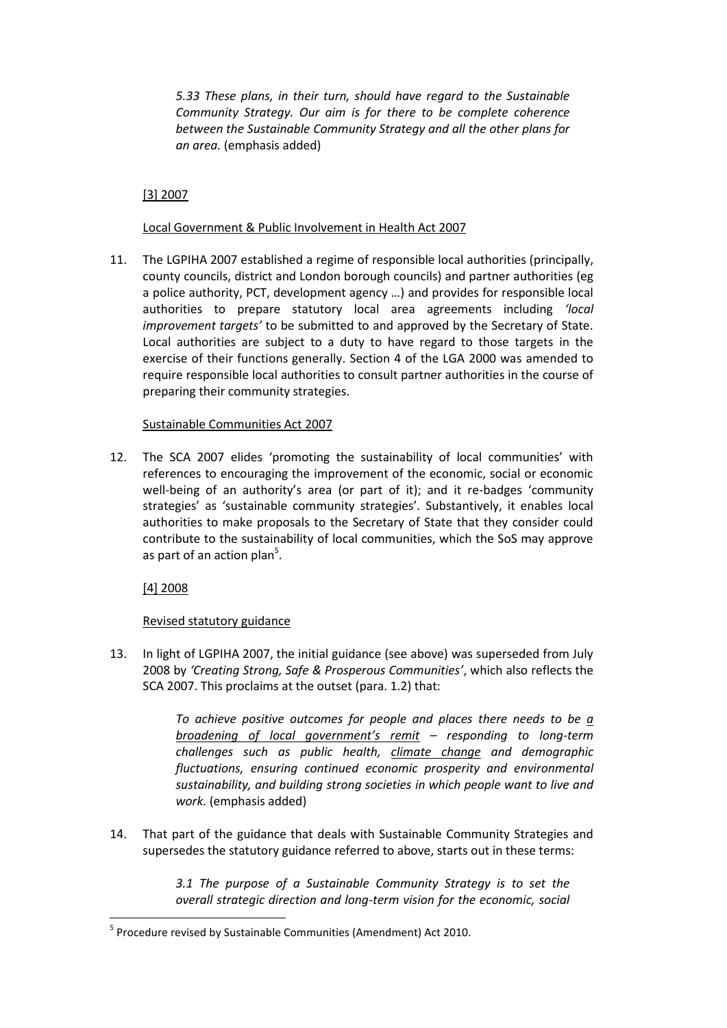*5.33 These plans, in their turn, should have regard to the Sustainable Community Strategy. Our aim is for there to be complete coherence between the Sustainable Community Strategy and all the other plans for an area.* (emphasis added)

# [3] 2007

## Local Government & Public Involvement in Health Act 2007

11. The LGPIHA 2007 established a regime of responsible local authorities (principally, county councils, district and London borough councils) and partner authorities (eg a police authority, PCT, development agency …) and provides for responsible local authorities to prepare statutory local area agreements including *'local improvement targets'* to be submitted to and approved by the Secretary of State. Local authorities are subject to a duty to have regard to those targets in the exercise of their functions generally. Section 4 of the LGA 2000 was amended to require responsible local authorities to consult partner authorities in the course of preparing their community strategies.

## Sustainable Communities Act 2007

12. The SCA 2007 elides 'promoting the sustainability of local communities' with references to encouraging the improvement of the economic, social or economic well-being of an authority's area (or part of it); and it re-badges 'community strategies' as 'sustainable community strategies'. Substantively, it enables local authorities to make proposals to the Secretary of State that they consider could contribute to the sustainability of local communities, which the SoS may approve as part of an action plan<sup>5</sup>.

[4] 2008

1

## Revised statutory guidance

13. In light of LGPIHA 2007, the initial guidance (see above) was superseded from July 2008 by *'Creating Strong, Safe & Prosperous Communities'*, which also reflects the SCA 2007. This proclaims at the outset (para. 1.2) that:

> *To achieve positive outcomes for people and places there needs to be a broadening of local government's remit – responding to long-term challenges such as public health, climate change and demographic fluctuations, ensuring continued economic prosperity and environmental sustainability, and building strong societies in which people want to live and work.* (emphasis added)

14. That part of the guidance that deals with Sustainable Community Strategies and supersedes the statutory guidance referred to above, starts out in these terms:

> *3.1 The purpose of a Sustainable Community Strategy is to set the overall strategic direction and long-term vision for the economic, social*

<sup>&</sup>lt;sup>5</sup> Procedure revised by Sustainable Communities (Amendment) Act 2010.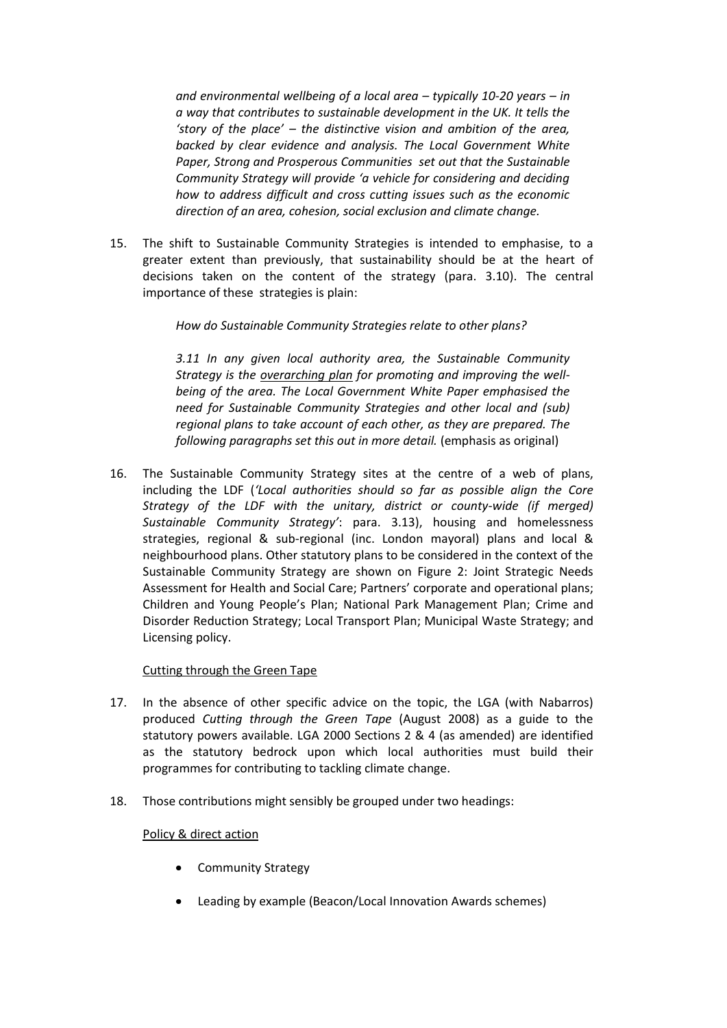*and environmental wellbeing of a local area – typically 10-20 years – in a way that contributes to sustainable development in the UK. It tells the 'story of the place' – the distinctive vision and ambition of the area, backed by clear evidence and analysis. The Local Government White Paper, Strong and Prosperous Communities set out that the Sustainable Community Strategy will provide 'a vehicle for considering and deciding how to address difficult and cross cutting issues such as the economic direction of an area, cohesion, social exclusion and climate change.*

15. The shift to Sustainable Community Strategies is intended to emphasise, to a greater extent than previously, that sustainability should be at the heart of decisions taken on the content of the strategy (para. 3.10). The central importance of these strategies is plain:

## *How do Sustainable Community Strategies relate to other plans?*

*3.11 In any given local authority area, the Sustainable Community Strategy is the overarching plan for promoting and improving the wellbeing of the area. The Local Government White Paper emphasised the need for Sustainable Community Strategies and other local and (sub) regional plans to take account of each other, as they are prepared. The following paragraphs set this out in more detail.* (emphasis as original)

16. The Sustainable Community Strategy sites at the centre of a web of plans, including the LDF (*'Local authorities should so far as possible align the Core Strategy of the LDF with the unitary, district or county-wide (if merged) Sustainable Community Strategy'*: para. 3.13), housing and homelessness strategies, regional & sub-regional (inc. London mayoral) plans and local & neighbourhood plans. Other statutory plans to be considered in the context of the Sustainable Community Strategy are shown on Figure 2: Joint Strategic Needs Assessment for Health and Social Care; Partners' corporate and operational plans; Children and Young People's Plan; National Park Management Plan; Crime and Disorder Reduction Strategy; Local Transport Plan; Municipal Waste Strategy; and Licensing policy.

## Cutting through the Green Tape

- 17. In the absence of other specific advice on the topic, the LGA (with Nabarros) produced *Cutting through the Green Tape* (August 2008) as a guide to the statutory powers available. LGA 2000 Sections 2 & 4 (as amended) are identified as the statutory bedrock upon which local authorities must build their programmes for contributing to tackling climate change.
- 18. Those contributions might sensibly be grouped under two headings:

## Policy & direct action

- Community Strategy
- Leading by example (Beacon/Local Innovation Awards schemes)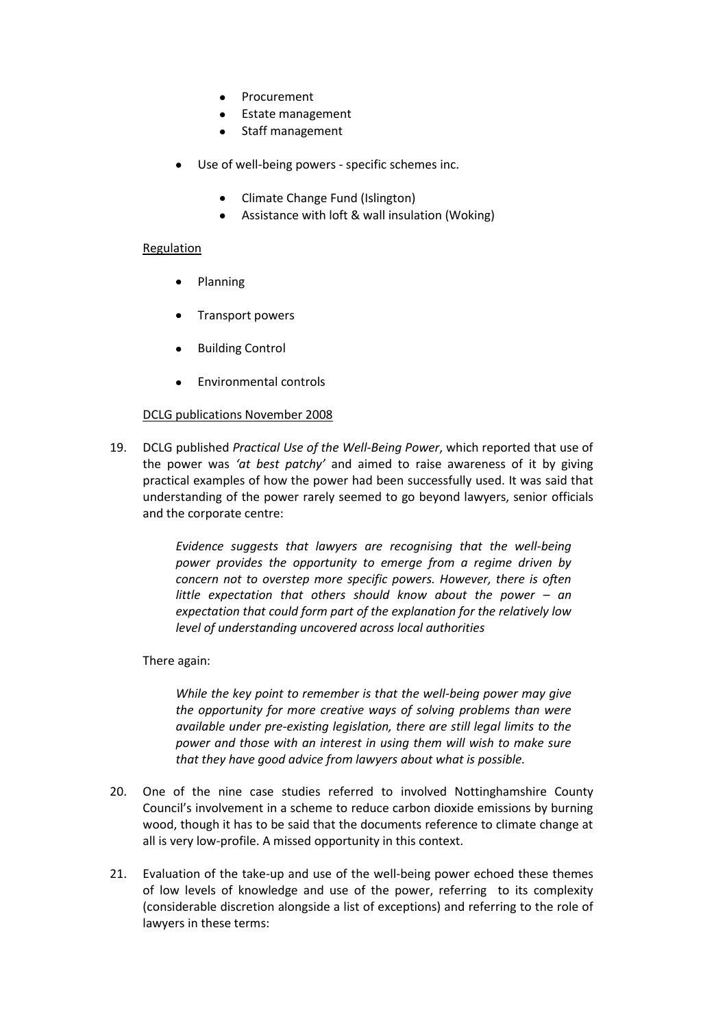- Procurement
- Estate management
- Staff management
- Use of well-being powers specific schemes inc.
	- Climate Change Fund (Islington)
	- Assistance with loft & wall insulation (Woking)

#### Regulation

- Planning
- Transport powers
- Building Control
- Environmental controls

## DCLG publications November 2008

19. DCLG published *Practical Use of the Well-Being Power*, which reported that use of the power was *'at best patchy'* and aimed to raise awareness of it by giving practical examples of how the power had been successfully used. It was said that understanding of the power rarely seemed to go beyond lawyers, senior officials and the corporate centre:

> *Evidence suggests that lawyers are recognising that the well-being power provides the opportunity to emerge from a regime driven by concern not to overstep more specific powers. However, there is often little expectation that others should know about the power – an expectation that could form part of the explanation for the relatively low level of understanding uncovered across local authorities*

## There again:

*While the key point to remember is that the well-being power may give the opportunity for more creative ways of solving problems than were available under pre-existing legislation, there are still legal limits to the power and those with an interest in using them will wish to make sure that they have good advice from lawyers about what is possible.*

- 20. One of the nine case studies referred to involved Nottinghamshire County Council's involvement in a scheme to reduce carbon dioxide emissions by burning wood, though it has to be said that the documents reference to climate change at all is very low-profile. A missed opportunity in this context.
- 21. Evaluation of the take-up and use of the well-being power echoed these themes of low levels of knowledge and use of the power, referring to its complexity (considerable discretion alongside a list of exceptions) and referring to the role of lawyers in these terms: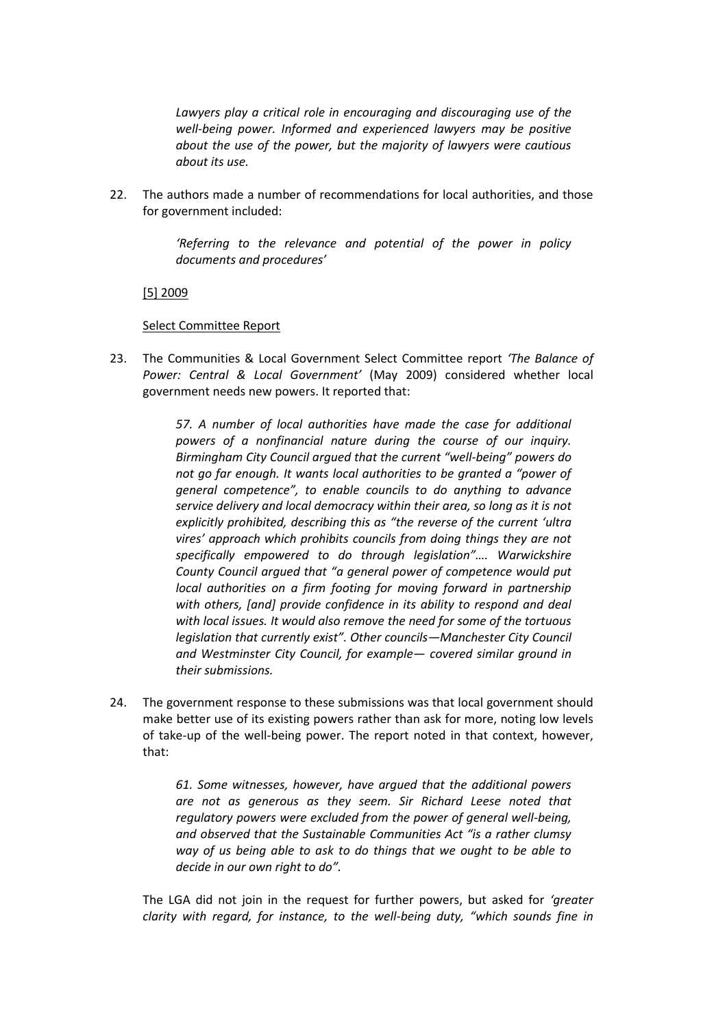*Lawyers play a critical role in encouraging and discouraging use of the well-being power. Informed and experienced lawyers may be positive about the use of the power, but the majority of lawyers were cautious about its use.* 

22. The authors made a number of recommendations for local authorities, and those for government included:

> *'Referring to the relevance and potential of the power in policy documents and procedures'*

[5] 2009

#### Select Committee Report

23. The Communities & Local Government Select Committee report *'The Balance of Power: Central & Local Government'* (May 2009) considered whether local government needs new powers. It reported that:

> *57. A number of local authorities have made the case for additional powers of a nonfinancial nature during the course of our inquiry. Birmingham City Council argued that the current "well-being" powers do not go far enough. It wants local authorities to be granted a "power of general competence", to enable councils to do anything to advance service delivery and local democracy within their area, so long as it is not explicitly prohibited, describing this as "the reverse of the current 'ultra vires' approach which prohibits councils from doing things they are not specifically empowered to do through legislation"…. Warwickshire County Council argued that "a general power of competence would put local authorities on a firm footing for moving forward in partnership with others, [and] provide confidence in its ability to respond and deal with local issues. It would also remove the need for some of the tortuous legislation that currently exist". Other councils—Manchester City Council and Westminster City Council, for example— covered similar ground in their submissions.*

24. The government response to these submissions was that local government should make better use of its existing powers rather than ask for more, noting low levels of take-up of the well-being power. The report noted in that context, however, that:

> *61. Some witnesses, however, have argued that the additional powers are not as generous as they seem. Sir Richard Leese noted that regulatory powers were excluded from the power of general well-being, and observed that the Sustainable Communities Act "is a rather clumsy way of us being able to ask to do things that we ought to be able to decide in our own right to do".*

The LGA did not join in the request for further powers, but asked for *'greater clarity with regard, for instance, to the well-being duty, "which sounds fine in*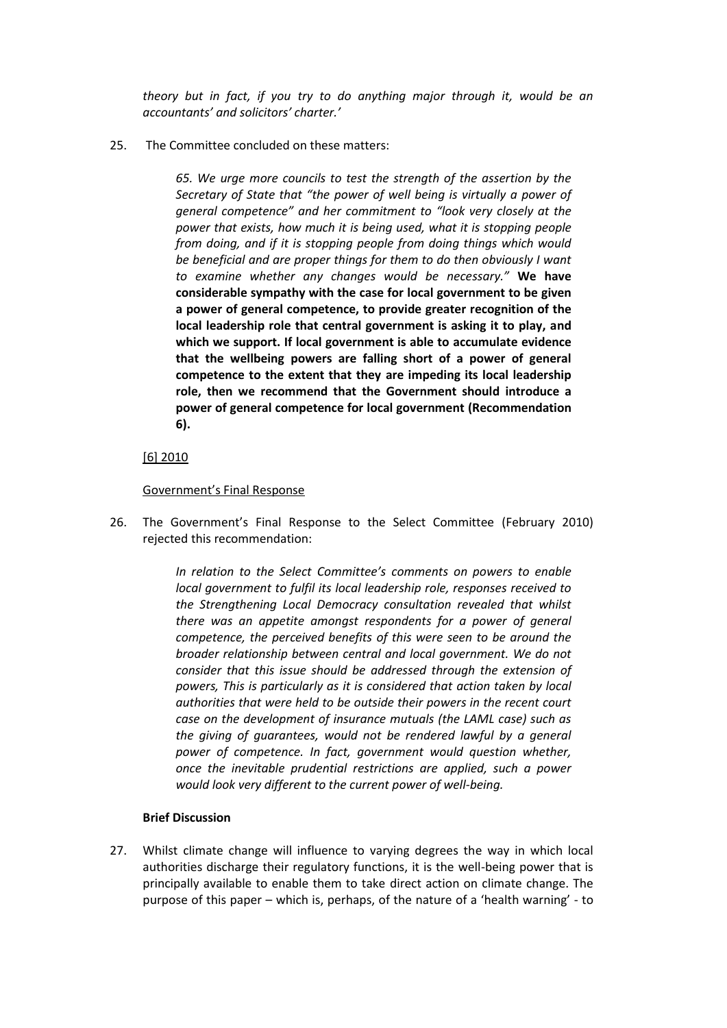*theory but in fact, if you try to do anything major through it, would be an accountants' and solicitors' charter.'*

25. The Committee concluded on these matters:

*65. We urge more councils to test the strength of the assertion by the Secretary of State that "the power of well being is virtually a power of general competence" and her commitment to "look very closely at the power that exists, how much it is being used, what it is stopping people from doing, and if it is stopping people from doing things which would be beneficial and are proper things for them to do then obviously I want to examine whether any changes would be necessary."* **We have considerable sympathy with the case for local government to be given a power of general competence, to provide greater recognition of the local leadership role that central government is asking it to play, and which we support. If local government is able to accumulate evidence that the wellbeing powers are falling short of a power of general competence to the extent that they are impeding its local leadership role, then we recommend that the Government should introduce a power of general competence for local government (Recommendation 6).**

## [6] 2010

## Government's Final Response

26. The Government's Final Response to the Select Committee (February 2010) rejected this recommendation:

> *In relation to the Select Committee's comments on powers to enable local government to fulfil its local leadership role, responses received to the Strengthening Local Democracy consultation revealed that whilst there was an appetite amongst respondents for a power of general competence, the perceived benefits of this were seen to be around the broader relationship between central and local government. We do not consider that this issue should be addressed through the extension of powers, This is particularly as it is considered that action taken by local authorities that were held to be outside their powers in the recent court case on the development of insurance mutuals (the LAML case) such as the giving of guarantees, would not be rendered lawful by a general power of competence. In fact, government would question whether, once the inevitable prudential restrictions are applied, such a power would look very different to the current power of well-being.*

#### **Brief Discussion**

27. Whilst climate change will influence to varying degrees the way in which local authorities discharge their regulatory functions, it is the well-being power that is principally available to enable them to take direct action on climate change. The purpose of this paper – which is, perhaps, of the nature of a 'health warning' - to